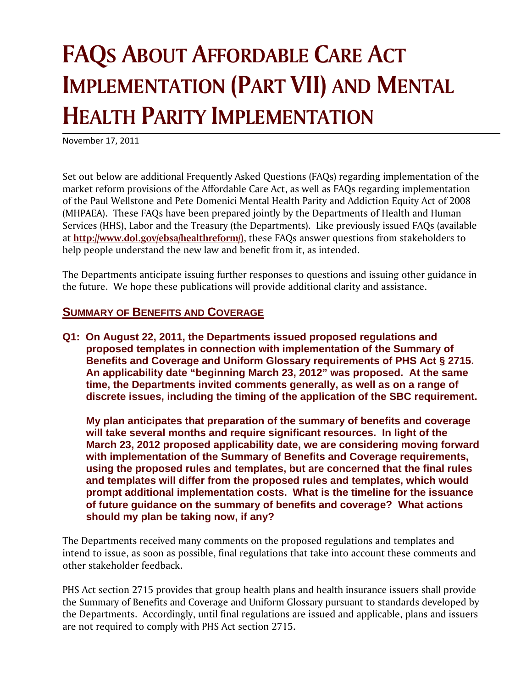# **FAQS ABOUT AFFORDABLE CARE ACT IMPLEMENTATION (PART VII) AND MENTAL HEALTH PARITY IMPLEMENTATION**

November 17, 2011

Set out below are additional Frequently Asked Questions (FAQs) regarding implementation of the market reform provisions of the Affordable Care Act, as well as FAQs regarding implementation of the Paul Wellstone and Pete Domenici Mental Health Parity and Addiction Equity Act of 2008 (MHPAEA). These FAQs have been prepared jointly by the Departments of Health and Human Services (HHS), Labor and the Treasury (the Departments). Like previously issued FAQs (available at **http://www.dol.gov/ebsa/healthreform/)**, these FAQs answer questions from stakeholders to help people understand the new law and benefit from it, as intended.

The Departments anticipate issuing further responses to questions and issuing other guidance in the future. We hope these publications will provide additional clarity and assistance.

### **SUMMARY OF BENEFITS AND COVERAGE**

**Q1: On August 22, 2011, the Departments issued proposed regulations and proposed templates in connection with implementation of the Summary of Benefits and Coverage and Uniform Glossary requirements of PHS Act § 2715. An applicability date "beginning March 23, 2012" was proposed. At the same time, the Departments invited comments generally, as well as on a range of discrete issues, including the timing of the application of the SBC requirement.** 

**My plan anticipates that preparation of the summary of benefits and coverage will take several months and require significant resources. In light of the March 23, 2012 proposed applicability date, we are considering moving forward with implementation of the Summary of Benefits and Coverage requirements, using the proposed rules and templates, but are concerned that the final rules and templates will differ from the proposed rules and templates, which would prompt additional implementation costs. What is the timeline for the issuance of future guidance on the summary of benefits and coverage? What actions should my plan be taking now, if any?** 

The Departments received many comments on the proposed regulations and templates and intend to issue, as soon as possible, final regulations that take into account these comments and other stakeholder feedback.

PHS Act section 2715 provides that group health plans and health insurance issuers shall provide the Summary of Benefits and Coverage and Uniform Glossary pursuant to standards developed by the Departments. Accordingly, until final regulations are issued and applicable, plans and issuers are not required to comply with PHS Act section 2715.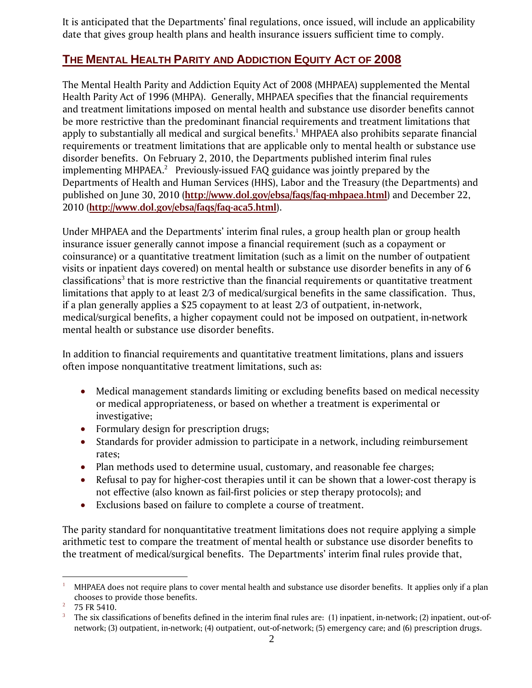It is anticipated that the Departments' final regulations, once issued, will include an applicability date that gives group health plans and health insurance issuers sufficient time to comply.

## **THE MENTAL HEALTH PARITY AND ADDICTION EQUITY ACT OF 2008**

The Mental Health Parity and Addiction Equity Act of 2008 (MHPAEA) supplemented the Mental Health Parity Act of 1996 (MHPA). Generally, MHPAEA specifies that the financial requirements and treatment limitations imposed on mental health and substance use disorder benefits cannot be more restrictive than the predominant financial requirements and treatment limitations that apply to substantially all medical and surgical benefits.<sup>1</sup> MHPAEA also prohibits separate financial requirements or treatment limitations that are applicable only to mental health or substance use disorder benefits. On February 2, 2010, the Departments published interim final rules implementing MHPAEA. $^2$  Previously-issued FAQ guidance was jointly prepared by the Departments of Health and Human Services (HHS), Labor and the Treasury (the Departments) and published on June 30, 2010 (**http://www.dol.gov/ebsa/faqs/faq-mhpaea.html**) and December 22, 2010 (**http://www.dol.gov/ebsa/faqs/faq-aca5.html**).

Under MHPAEA and the Departments' interim final rules, a group health plan or group health insurance issuer generally cannot impose a financial requirement (such as a copayment or coinsurance) or a quantitative treatment limitation (such as a limit on the number of outpatient visits or inpatient days covered) on mental health or substance use disorder benefits in any of 6 classifications $^3$  that is more restrictive than the financial requirements or quantitative treatment limitations that apply to at least 2/3 of medical/surgical benefits in the same classification. Thus, if a plan generally applies a \$25 copayment to at least 2/3 of outpatient, in-network, medical/surgical benefits, a higher copayment could not be imposed on outpatient, in-network mental health or substance use disorder benefits.

In addition to financial requirements and quantitative treatment limitations, plans and issuers often impose nonquantitative treatment limitations, such as:

- Medical management standards limiting or excluding benefits based on medical necessity or medical appropriateness, or based on whether a treatment is experimental or investigative;
- Formulary design for prescription drugs;
- Standards for provider admission to participate in a network, including reimbursement rates;
- Plan methods used to determine usual, customary, and reasonable fee charges;
- Refusal to pay for higher-cost therapies until it can be shown that a lower-cost therapy is not effective (also known as fail-first policies or step therapy protocols); and
- Exclusions based on failure to complete a course of treatment.

The parity standard for nonquantitative treatment limitations does not require applying a simple arithmetic test to compare the treatment of mental health or substance use disorder benefits to the treatment of medical/surgical benefits. The Departments' interim final rules provide that,

<sup>1</sup> 1 MHPAEA does not require plans to cover mental health and substance use disorder benefits. It applies only if a plan chooses to provide those benefits.<br> $\frac{2}{75}$  FR F410

 <sup>75</sup> FR 5410.

<sup>3</sup> The six classifications of benefits defined in the interim final rules are: (1) inpatient, in-network; (2) inpatient, out-ofnetwork; (3) outpatient, in-network; (4) outpatient, out-of-network; (5) emergency care; and (6) prescription drugs.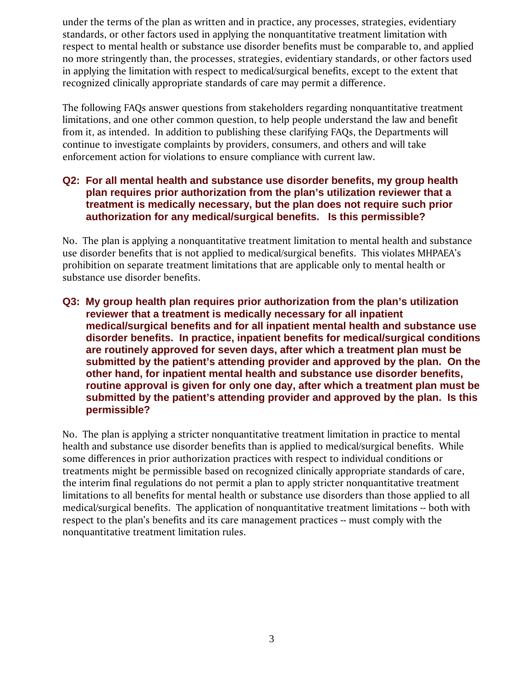under the terms of the plan as written and in practice, any processes, strategies, evidentiary standards, or other factors used in applying the nonquantitative treatment limitation with respect to mental health or substance use disorder benefits must be comparable to, and applied no more stringently than, the processes, strategies, evidentiary standards, or other factors used in applying the limitation with respect to medical/surgical benefits, except to the extent that recognized clinically appropriate standards of care may permit a difference.

The following FAQs answer questions from stakeholders regarding nonquantitative treatment limitations, and one other common question, to help people understand the law and benefit from it, as intended. In addition to publishing these clarifying FAQs, the Departments will continue to investigate complaints by providers, consumers, and others and will take enforcement action for violations to ensure compliance with current law.

#### **Q2: For all mental health and substance use disorder benefits, my group health plan requires prior authorization from the plan's utilization reviewer that a treatment is medically necessary, but the plan does not require such prior authorization for any medical/surgical benefits. Is this permissible?**

No. The plan is applying a nonquantitative treatment limitation to mental health and substance use disorder benefits that is not applied to medical/surgical benefits. This violates MHPAEA's prohibition on separate treatment limitations that are applicable only to mental health or substance use disorder benefits.

**Q3: My group health plan requires prior authorization from the plan's utilization reviewer that a treatment is medically necessary for all inpatient medical/surgical benefits and for all inpatient mental health and substance use disorder benefits. In practice, inpatient benefits for medical/surgical conditions are routinely approved for seven days, after which a treatment plan must be submitted by the patient's attending provider and approved by the plan. On the other hand, for inpatient mental health and substance use disorder benefits, routine approval is given for only one day, after which a treatment plan must be submitted by the patient's attending provider and approved by the plan. Is this permissible?** 

No. The plan is applying a stricter nonquantitative treatment limitation in practice to mental health and substance use disorder benefits than is applied to medical/surgical benefits. While some differences in prior authorization practices with respect to individual conditions or treatments might be permissible based on recognized clinically appropriate standards of care, the interim final regulations do not permit a plan to apply stricter nonquantitative treatment limitations to all benefits for mental health or substance use disorders than those applied to all medical/surgical benefits. The application of nonquantitative treatment limitations -- both with respect to the plan's benefits and its care management practices -- must comply with the nonquantitative treatment limitation rules.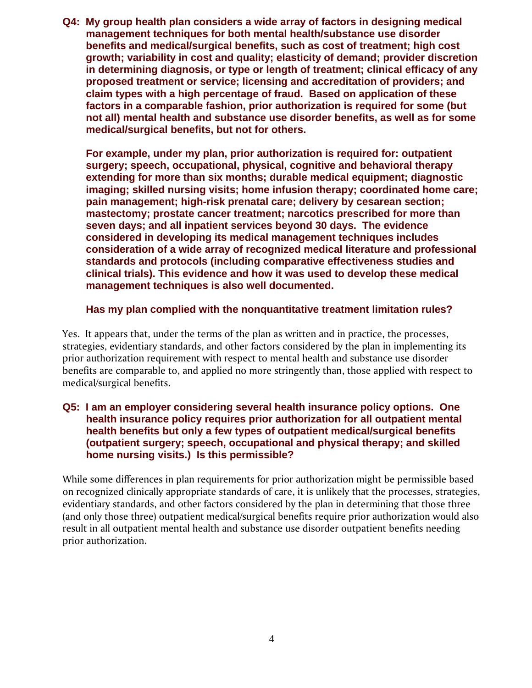**Q4: My group health plan considers a wide array of factors in designing medical management techniques for both mental health/substance use disorder benefits and medical/surgical benefits, such as cost of treatment; high cost growth; variability in cost and quality; elasticity of demand; provider discretion in determining diagnosis, or type or length of treatment; clinical efficacy of any proposed treatment or service; licensing and accreditation of providers; and claim types with a high percentage of fraud. Based on application of these factors in a comparable fashion, prior authorization is required for some (but not all) mental health and substance use disorder benefits, as well as for some medical/surgical benefits, but not for others.** 

**For example, under my plan, prior authorization is required for: outpatient surgery; speech, occupational, physical, cognitive and behavioral therapy extending for more than six months; durable medical equipment; diagnostic imaging; skilled nursing visits; home infusion therapy; coordinated home care; pain management; high-risk prenatal care; delivery by cesarean section; mastectomy; prostate cancer treatment; narcotics prescribed for more than seven days; and all inpatient services beyond 30 days. The evidence considered in developing its medical management techniques includes consideration of a wide array of recognized medical literature and professional standards and protocols (including comparative effectiveness studies and clinical trials). This evidence and how it was used to develop these medical management techniques is also well documented.** 

#### **Has my plan complied with the nonquantitative treatment limitation rules?**

Yes. It appears that, under the terms of the plan as written and in practice, the processes, strategies, evidentiary standards, and other factors considered by the plan in implementing its prior authorization requirement with respect to mental health and substance use disorder benefits are comparable to, and applied no more stringently than, those applied with respect to medical/surgical benefits.

#### **Q5: I am an employer considering several health insurance policy options. One health insurance policy requires prior authorization for all outpatient mental health benefits but only a few types of outpatient medical/surgical benefits (outpatient surgery; speech, occupational and physical therapy; and skilled home nursing visits.) Is this permissible?**

While some differences in plan requirements for prior authorization might be permissible based on recognized clinically appropriate standards of care, it is unlikely that the processes, strategies, evidentiary standards, and other factors considered by the plan in determining that those three (and only those three) outpatient medical/surgical benefits require prior authorization would also result in all outpatient mental health and substance use disorder outpatient benefits needing prior authorization.